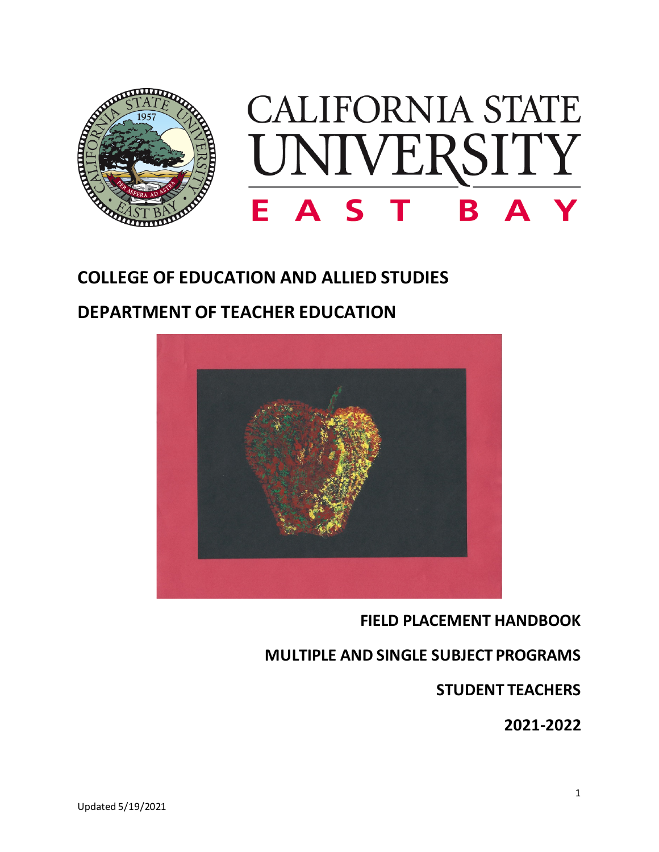

## **COLLEGE OF EDUCATION AND ALLIED STUDIES**

## **DEPARTMENT OF TEACHER EDUCATION**



## **FIELD PLACEMENT HANDBOOK**

## **MULTIPLE AND SINGLE SUBJECT PROGRAMS**

**STUDENT TEACHERS** 

**2021-2022**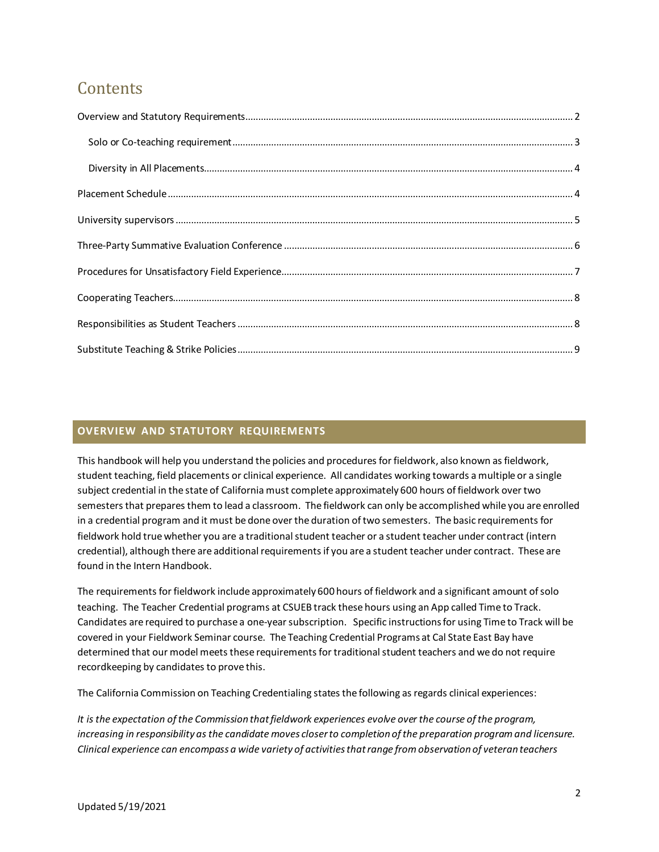# **Contents**

## <span id="page-1-0"></span>**OVERVIEW AND STATUTORY REQUIREMENTS**

This handbook will help you understand the policies and procedures for fieldwork, also known as fieldwork, student teaching, field placements or clinical experience. All candidates working towards a multiple or a single subject credential in the state of California must complete approximately 600 hours of fieldwork over two semesters that prepares them to lead a classroom. The fieldwork can only be accomplished while you are enrolled in a credential program and it must be done over the duration of two semesters. The basic requirements for fieldwork hold true whether you are a traditional student teacher or a student teacher under contract (intern credential), although there are additional requirements if you are a student teacher under contract. These are found in the Intern Handbook.

The requirements for fieldwork include approximately 600 hours of fieldwork and a significant amount of solo teaching. The Teacher Credential programs at CSUEB track these hours using an App called Time to Track. Candidates are required to purchase a one-year subscription. Specific instructions for using Time to Track will be covered in your Fieldwork Seminar course. The Teaching Credential Programs at Cal State East Bay have determined that our model meets these requirements for traditional student teachers and we do not require recordkeeping by candidates to prove this.

The California Commission on Teaching Credentialing states the following as regards clinical experiences:

*It is the expectation of the Commission that fieldwork experiences evolve over the course of the program, increasing in responsibility as the candidate moves closer to completion of the preparation program and licensure. Clinical experience can encompass a wide variety of activities that range from observation of veteran teachers*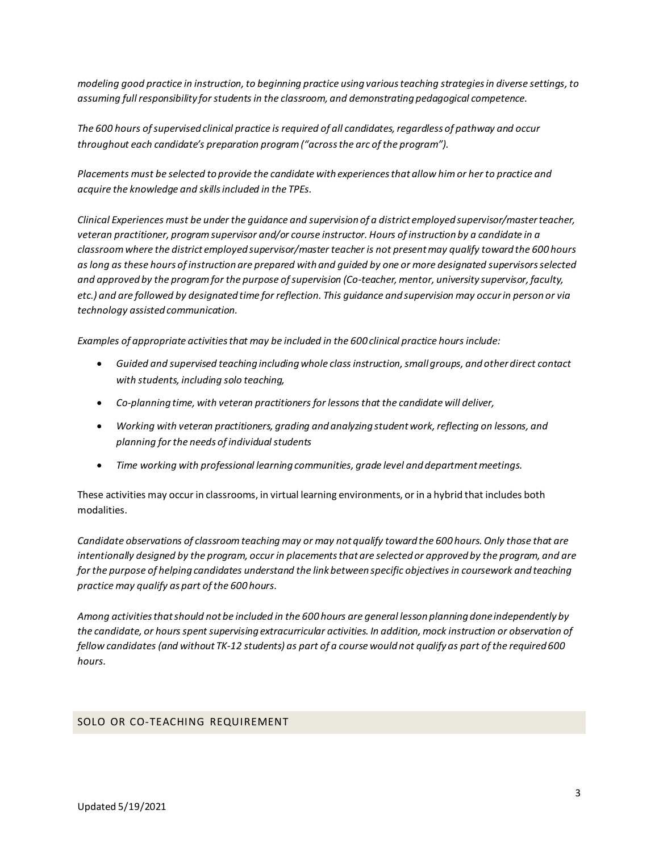*modeling good practice in instruction, to beginning practice using various teaching strategies in diverse settings, to assuming full responsibility for students in the classroom, and demonstrating pedagogical competence.* 

*The 600 hours of supervised clinical practice is required of all candidates, regardless of pathway and occur throughout each candidate's preparation program ("across the arc of the program").* 

*Placements must be selected to provide the candidate with experiences that allow him or her to practice and acquire the knowledge and skills included in the TPEs.* 

*Clinical Experiences must be under the guidance and supervision of a district employed supervisor/master teacher, veteran practitioner, program supervisor and/or course instructor. Hours of instruction by a candidate in a classroom where the district employed supervisor/master teacher is not presentmay qualify toward the 600 hours as long as these hours of instruction are prepared with and guided by one or more designated supervisors selected and approved by the program for the purpose of supervision (Co-teacher, mentor, university supervisor, faculty, etc.) and are followed by designated time for reflection. This guidance and supervision may occur in person or via technology assisted communication.*

*Examples of appropriate activities that may be included in the 600 clinical practice hours include:* 

- *Guided and supervised teaching including whole class instruction, small groups, and other direct contact with students, including solo teaching,*
- *Co-planning time, with veteran practitioners for lessons that the candidate will deliver,*
- *Working with veteran practitioners, grading and analyzing student work, reflecting on lessons, and planning for the needs of individual students*
- *Time working with professional learning communities, grade level and department meetings.*

These activities may occur in classrooms, in virtual learning environments, or in a hybrid that includes both modalities.

*Candidate observations of classroom teaching may or may not qualify toward the 600 hours. Only those that are intentionally designed by the program, occur in placements that are selected or approved by the program, and are for the purpose of helping candidates understand the link between specific objectives in coursework and teaching practice may qualify as part of the 600 hours.* 

*Among activities that should not be included in the 600 hours are general lesson planning done independently by the candidate, or hours spent supervising extracurricular activities. In addition, mock instruction or observation of fellow candidates (and without TK-12 students) as part of a course would not qualify as part of the required 600 hours.* 

### <span id="page-2-0"></span>SOLO OR CO-TEACHING REQUIREMENT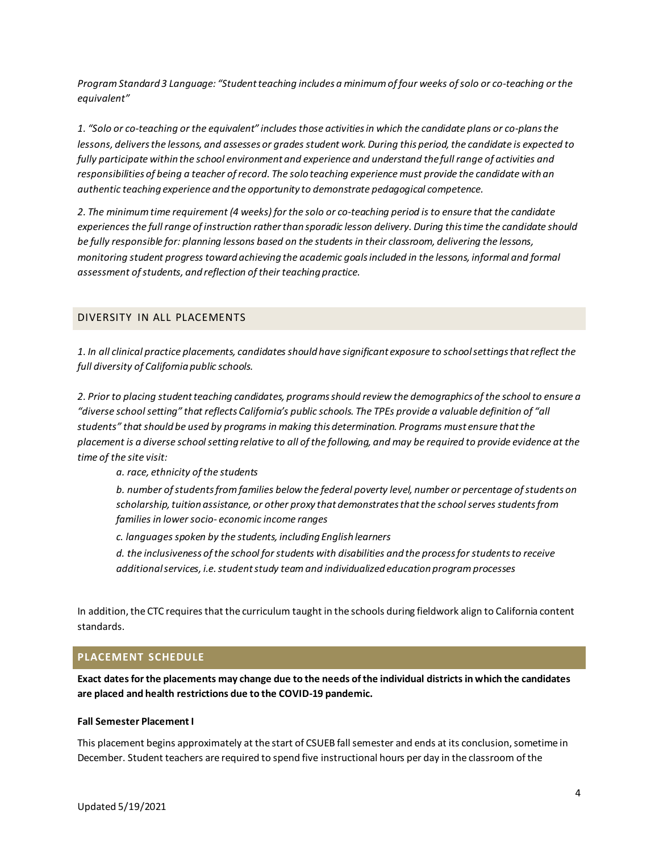*Program Standard 3 Language: "Student teaching includes a minimum of four weeks of solo or co-teaching or the equivalent"* 

*1. "Solo or co-teaching or the equivalent" includes those activities in which the candidate plans or co-plans the lessons, delivers the lessons, and assesses or grades student work. During this period, the candidate is expected to fully participate within the school environment and experience and understand the full range of activities and* responsibilities of being a teacher of record. The solo teaching experience must provide the candidate with an *authentic teaching experience and the opportunity to demonstrate pedagogical competence.* 

*2. The minimum time requirement (4 weeks) for the solo or co-teaching period is to ensure that the candidate experiences the full range of instruction rather than sporadic lesson delivery. During this time the candidate should be fully responsible for: planning lessons based on the students in their classroom, delivering the lessons, monitoring student progress toward achieving the academic goals included in the lessons, informal and formal assessment of students, and reflection of their teaching practice.* 

#### <span id="page-3-0"></span>DIVERSITY IN ALL PLACEMENTS

*1. In all clinical practice placements, candidates should have significant exposure to school settings that reflect the full diversity of California public schools.* 

*2. Prior to placing student teaching candidates, programs should review the demographics of the school to ensure a "diverse school setting" that reflects California's public schools. The TPEs provide a valuable definition of "all students" that should be used by programs in making this determination. Programs must ensure that the placement is a diverse school setting relative to all of the following, and may be required to provide evidence at the time of the site visit:* 

*a. race, ethnicity of the students* 

*b. number of students from families below the federal poverty level, number or percentage of students on scholarship, tuition assistance, or other proxy that demonstrates that the school serves students from families in lower socio- economic income ranges* 

*c. languages spoken by the students, including English learners* 

*d. the inclusiveness of the school for students with disabilities and the process for students to receive additional services, i.e. student study team and individualized education program processes* 

In addition, the CTC requires that the curriculum taught in the schools during fieldwork align to California content standards.

#### <span id="page-3-1"></span>**PLACEMENT SCHEDULE**

**Exact dates for the placements may change due to the needs of the individual districts in which the candidates are placed and health restrictions due to the COVID-19 pandemic.**

#### **Fall Semester Placement I**

This placement begins approximately at the start of CSUEB fall semester and ends at its conclusion, sometime in December. Student teachers are required to spend five instructional hours per day in the classroom of the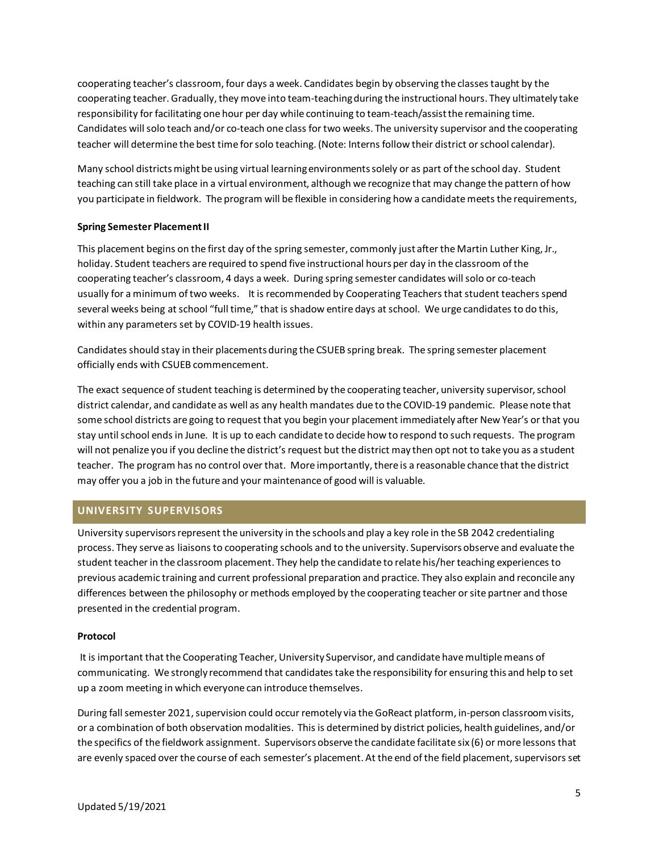cooperating teacher's classroom, four days a week. Candidates begin by observing the classes taught by the cooperating teacher. Gradually, they move into team-teaching during the instructional hours. They ultimately take responsibility for facilitating one hour per day while continuing to team-teach/assistthe remaining time. Candidates will solo teach and/or co-teach one class for two weeks. The university supervisor and the cooperating teacher will determine the best time for solo teaching. (Note: Interns follow their district or school calendar).

Many school districts might be using virtual learning environments solely or as part of the school day. Student teaching can still take place in a virtual environment, although we recognize that may change the pattern of how you participate in fieldwork. The program will be flexible in considering how a candidate meets the requirements,

#### **Spring Semester Placement II**

This placement begins on the first day of the spring semester, commonly just after the Martin Luther King, Jr., holiday. Student teachers are required to spend five instructional hours per day in the classroom of the cooperating teacher's classroom, 4 days a week. During spring semester candidates will solo or co-teach usually for a minimum of two weeks. It is recommended by Cooperating Teachers that student teachers spend several weeks being at school "full time," that is shadow entire days at school. We urge candidates to do this, within any parameters set by COVID-19 health issues.

Candidates should stay in their placements during the CSUEB spring break. The spring semester placement officially ends with CSUEB commencement.

The exact sequence of student teaching is determined by the cooperating teacher, university supervisor, school district calendar, and candidate as well as any health mandates due to the COVID-19 pandemic. Please note that some school districts are going to request that you begin your placement immediately after New Year's or that you stay until school ends in June. It is up to each candidate to decide how to respond to such requests. The program will not penalize you if you decline the district's request but the district may then opt not to take you as a student teacher. The program has no control over that. More importantly, there is a reasonable chance that the district may offer you a job in the future and your maintenance of good will is valuable.

## <span id="page-4-0"></span>**UNIVERSITY SUPERVISORS**

University supervisors represent the university in the schools and play a key role in the SB 2042 credentialing process. They serve as liaisons to cooperating schools and to the university. Supervisors observe and evaluate the student teacher in the classroom placement. They help the candidate to relate his/her teaching experiences to previous academic training and current professional preparation and practice. They also explain and reconcile any differences between the philosophy or methods employed by the cooperating teacher or site partner and those presented in the credential program.

#### **Protocol**

It is important that the Cooperating Teacher, University Supervisor, and candidate have multiple means of communicating. We strongly recommend that candidates take the responsibility for ensuring this and help to set up a zoom meeting in which everyone can introduce themselves.

During fall semester 2021, supervision could occur remotely via the GoReact platform, in-person classroom visits, or a combination of both observation modalities. This is determined by district policies, health guidelines, and/or the specifics of the fieldwork assignment. Supervisors observe the candidate facilitate six (6) or more lessons that are evenly spaced over the course of each semester's placement. At the end of the field placement, supervisors set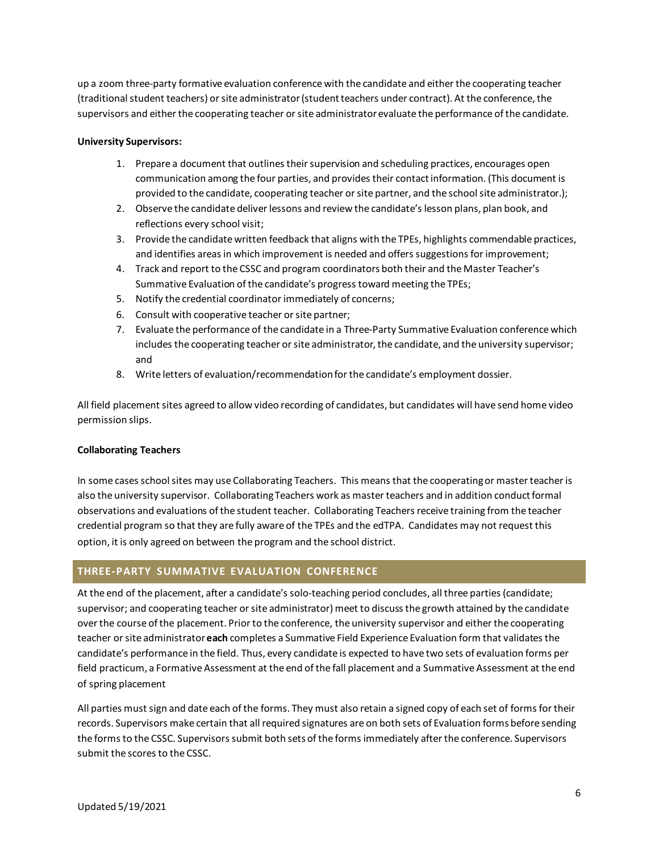up a zoom three-party formative evaluation conference with the candidate and either the cooperating teacher (traditional student teachers) or site administrator (student teachers under contract). At the conference, the supervisors and either the cooperating teacher or site administrator evaluate the performance of the candidate.

#### **University Supervisors:**

- 1. Prepare a document that outlines their supervision and scheduling practices, encourages open communication among the four parties, and provides their contact information. (This document is provided to the candidate, cooperating teacher or site partner, and the school site administrator.);
- 2. Observe the candidate deliver lessons and review the candidate's lesson plans, plan book, and reflections every school visit;
- 3. Provide the candidate written feedback that aligns with the TPEs, highlights commendable practices, and identifies areas in which improvement is needed and offers suggestions for improvement;
- 4. Track and report to the CSSC and program coordinators both their and the Master Teacher's Summative Evaluation of the candidate's progress toward meeting the TPEs;
- 5. Notify the credential coordinator immediately of concerns;
- 6. Consult with cooperative teacher or site partner;
- 7. Evaluate the performance of the candidate in a Three-Party Summative Evaluation conference which includes the cooperating teacher or site administrator, the candidate, and the university supervisor; and
- 8. Write letters of evaluation/recommendation for the candidate's employment dossier.

All field placement sites agreed to allow video recording of candidates, but candidates will have send home video permission slips.

#### **Collaborating Teachers**

In some cases school sites may use Collaborating Teachers. This means that the cooperating or master teacher is also the university supervisor. Collaborating Teachers work as master teachers and in addition conduct formal observations and evaluations of the student teacher. Collaborating Teachers receive training from the teacher credential program so that they are fully aware of the TPEs and the edTPA. Candidates may not request this option, it is only agreed on between the program and the school district.

### <span id="page-5-0"></span>**THREE-PARTY SUMMATIVE EVALUATION CONFERENCE**

At the end of the placement, after a candidate's solo-teaching period concludes, all three parties (candidate; supervisor; and cooperating teacher or site administrator) meet to discuss the growth attained by the candidate over the course of the placement. Prior to the conference, the university supervisor and either the cooperating teacher or site administrator **each** completes a Summative Field Experience Evaluation form that validates the candidate's performance in the field. Thus, every candidate is expected to have two sets of evaluation forms per field practicum, a Formative Assessment at the end of the fall placement and a Summative Assessment at the end of spring placement

All parties must sign and date each of the forms. They must also retain a signed copy of each set of forms for their records. Supervisors make certain that all required signatures are on both sets of Evaluation forms before sending the forms to the CSSC. Supervisors submit both sets of the forms immediately after the conference. Supervisors submit the scores to the CSSC.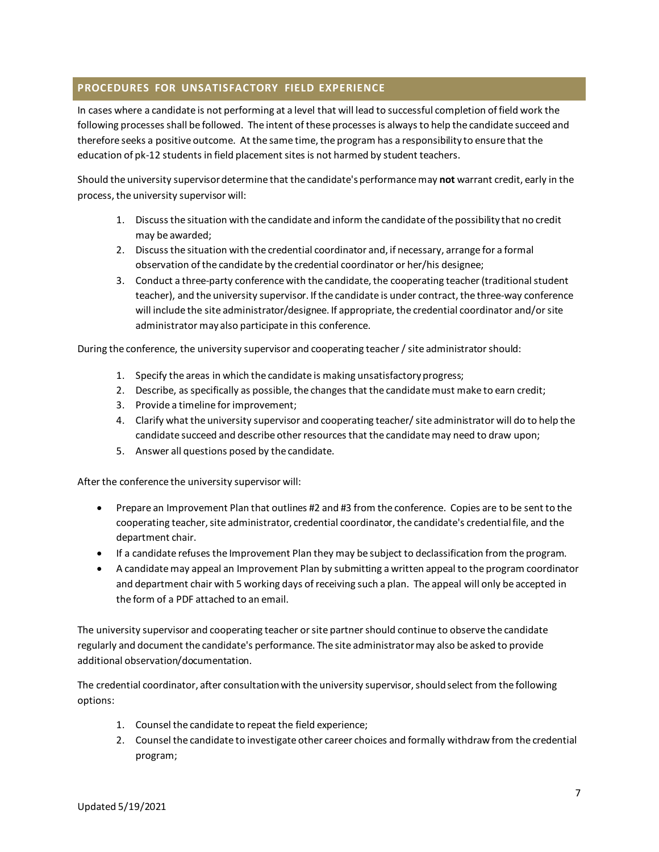### <span id="page-6-0"></span>**PROCEDURES FOR UNSATISFACTORY FIELD EXPERIENCE**

In cases where a candidate is not performing at a level that will lead to successful completion of field work the following processes shall be followed. The intent of these processes is always to help the candidate succeed and therefore seeks a positive outcome. At the same time, the program has a responsibility to ensure that the education of pk-12 students in field placement sites is not harmed by student teachers.

Should the university supervisor determine that the candidate's performance may **not** warrant credit, early in the process, the university supervisor will:

- 1. Discuss the situation with the candidate and inform the candidate of the possibility that no credit may be awarded;
- 2. Discuss the situation with the credential coordinator and, if necessary, arrange for a formal observation of the candidate by the credential coordinator or her/his designee;
- 3. Conduct a three-party conference with the candidate, the cooperating teacher (traditional student teacher), and the university supervisor. If the candidate is under contract, the three-way conference will include the site administrator/designee. If appropriate, the credential coordinator and/or site administrator may also participate in this conference.

During the conference, the university supervisor and cooperating teacher / site administrator should:

- 1. Specify the areas in which the candidate is making unsatisfactory progress;
- 2. Describe, as specifically as possible, the changes that the candidate must make to earn credit;
- 3. Provide a timeline for improvement;
- 4. Clarify what the university supervisor and cooperating teacher/ site administrator will do to help the candidate succeed and describe other resources that the candidate may need to draw upon;
- 5. Answer all questions posed by the candidate.

After the conference the university supervisor will:

- Prepare an Improvement Plan that outlines #2 and #3 from the conference. Copies are to be sent to the cooperating teacher, site administrator, credential coordinator, the candidate's credential file, and the department chair.
- If a candidate refuses the Improvement Plan they may be subject to declassification from the program.
- A candidate may appeal an Improvement Plan by submitting a written appeal to the program coordinator and department chair with 5 working days of receiving such a plan. The appeal will only be accepted in the form of a PDF attached to an email.

The university supervisor and cooperating teacher or site partner should continue to observe the candidate regularly and document the candidate's performance. The site administrator may also be asked to provide additional observation/documentation.

The credential coordinator, after consultation with the university supervisor, should select from the following options:

- 1. Counsel the candidate to repeat the field experience;
- 2. Counsel the candidate to investigate other career choices and formally withdraw from the credential program;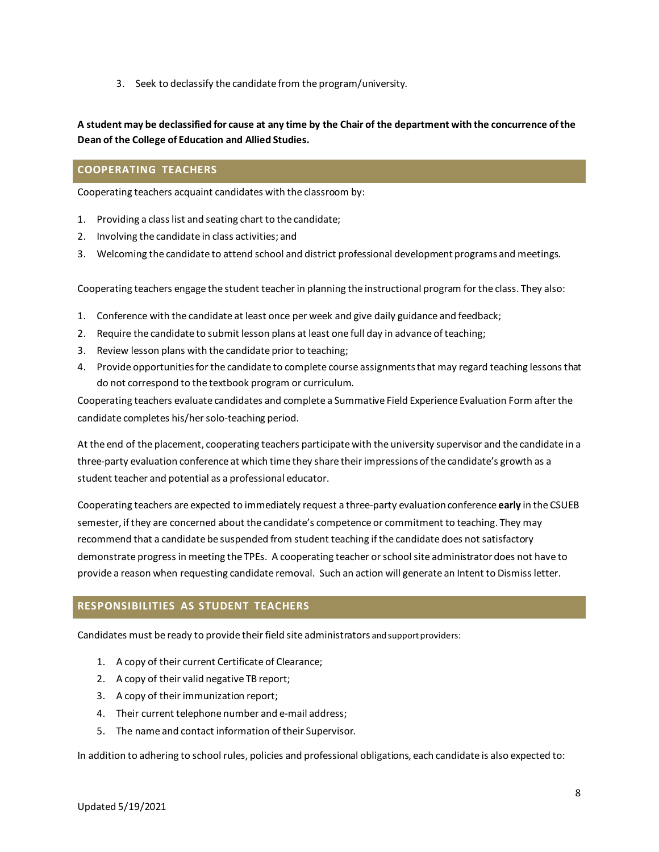3. Seek to declassify the candidate from the program/university.

**A student may be declassified for cause at any time by the Chair of the department with the concurrence of the Dean of the College of Education and Allied Studies.** 

## <span id="page-7-0"></span>**COOPERATING TEACHERS**

Cooperating teachers acquaint candidates with the classroom by:

- 1. Providing a class list and seating chart to the candidate;
- 2. Involving the candidate in class activities; and
- 3. Welcoming the candidate to attend school and district professional development programs and meetings.

Cooperating teachers engage the student teacher in planning the instructional program for the class. They also:

- 1. Conference with the candidate at least once per week and give daily guidance and feedback;
- 2. Require the candidate to submit lesson plans at least one full day in advance of teaching;
- 3. Review lesson plans with the candidate prior to teaching;
- 4. Provide opportunities for the candidate to complete course assignments that may regard teaching lessons that do not correspond to the textbook program or curriculum.

Cooperating teachers evaluate candidates and complete a Summative Field Experience Evaluation Form after the candidate completes his/her solo-teaching period.

At the end of the placement, cooperating teachers participate with the university supervisor and the candidate in a three-party evaluation conference at which time they share their impressions of the candidate's growth as a student teacher and potential as a professional educator.

Cooperating teachers are expected to immediately request a three-party evaluation conference **early** in the CSUEB semester, if they are concerned about the candidate's competence or commitment to teaching. They may recommend that a candidate be suspended from student teaching if the candidate does not satisfactory demonstrate progress in meeting the TPEs. A cooperating teacher or school site administrator does not have to provide a reason when requesting candidate removal. Such an action will generate an Intent to Dismiss letter.

## <span id="page-7-1"></span>**RESPONSIBILITIES AS STUDENT TEACHERS**

Candidates must be ready to provide their field site administrators and support providers:

- 1. A copy of their current Certificate of Clearance;
- 2. A copy of their valid negative TB report;
- 3. A copy of their immunization report;
- 4. Their current telephone number and e-mail address;
- 5. The name and contact information of their Supervisor.

In addition to adhering to school rules, policies and professional obligations, each candidate is also expected to: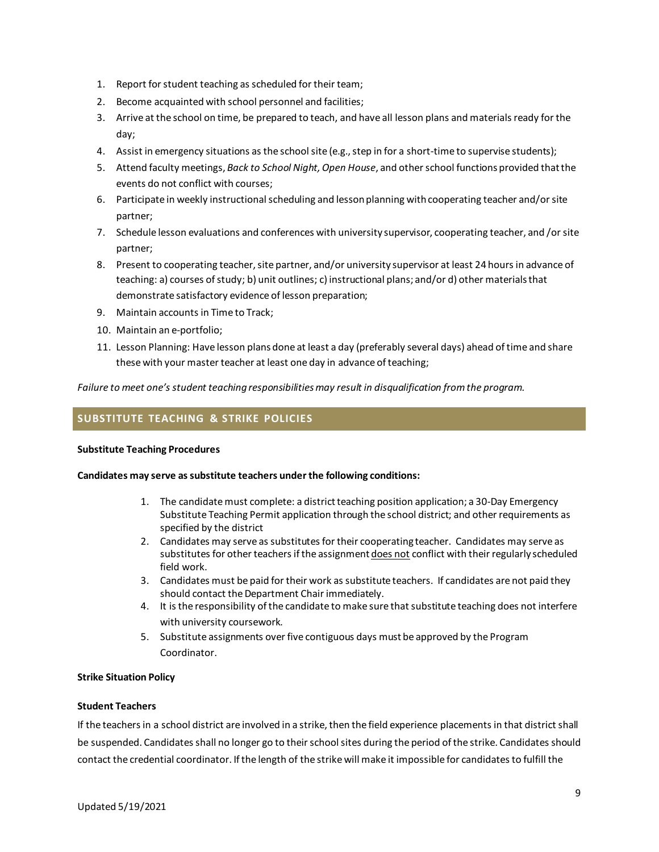- 1. Report for student teaching as scheduled for their team;
- 2. Become acquainted with school personnel and facilities;
- 3. Arrive at the school on time, be prepared to teach, and have all lesson plans and materials ready for the day;
- 4. Assist in emergency situations as the school site (e.g., step in for a short-time to supervise students);
- 5. Attend faculty meetings, *Back to School Night, Open House*, and other school functions provided that the events do not conflict with courses;
- 6. Participate in weekly instructional scheduling and lesson planning with cooperating teacher and/or site partner;
- 7. Schedule lesson evaluations and conferences with university supervisor, cooperating teacher, and /orsite partner;
- 8. Present to cooperating teacher, site partner, and/or university supervisor at least 24 hours in advance of teaching: a) courses of study; b) unit outlines; c) instructional plans; and/or d) other materials that demonstrate satisfactory evidence of lesson preparation;
- 9. Maintain accounts in Time to Track;
- 10. Maintain an e-portfolio;
- 11. Lesson Planning: Have lesson plans done at least a day (preferably several days) ahead of time and share these with your master teacher at least one day in advance of teaching;

*Failure to meet one's student teaching responsibilities may result in disqualification from the program.*

## <span id="page-8-0"></span>**SUBSTITUTE TEACHING & STRIKE POLICIES**

#### **Substitute Teaching Procedures**

#### **Candidates may serve as substitute teachers under the following conditions:**

- 1. The candidate must complete: a district teaching position application; a 30-Day Emergency Substitute Teaching Permit application through the school district; and other requirements as specified by the district
- 2. Candidates may serve as substitutes for their cooperating teacher. Candidates may serve as substitutes for other teachers if the assignment does not conflict with their regularly scheduled field work.
- 3. Candidates must be paid for their work as substitute teachers. If candidates are not paid they should contact the Department Chair immediately.
- 4. It is the responsibility of the candidate to make sure that substitute teaching does not interfere with university coursework.
- 5. Substitute assignments over five contiguous days must be approved by the Program Coordinator.

#### **Strike Situation Policy**

#### **Student Teachers**

If the teachers in a school district are involved in a strike, then the field experience placements in that district shall be suspended. Candidates shall no longer go to their school sites during the period of the strike. Candidates should contact the credential coordinator. If the length of the strike will make it impossible for candidates to fulfill the